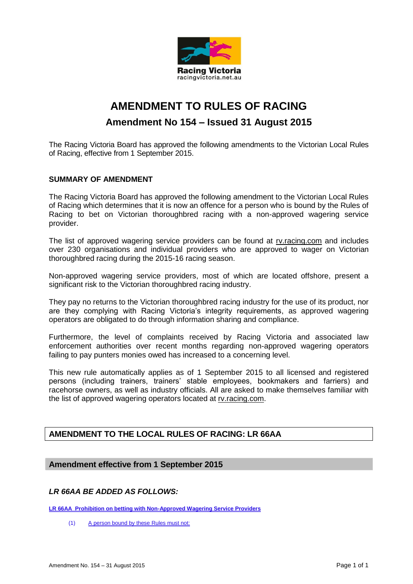

# **AMENDMENT TO RULES OF RACING Amendment No 154 – Issued 31 August 2015**

The Racing Victoria Board has approved the following amendments to the Victorian Local Rules of Racing, effective from 1 September 2015.

#### **SUMMARY OF AMENDMENT**

The Racing Victoria Board has approved the following amendment to the Victorian Local Rules of Racing which determines that it is now an offence for a person who is bound by the Rules of Racing to bet on Victorian thoroughbred racing with a non-approved wagering service provider.

The list of approved wagering service providers can be found at rv.racing.com and includes over 230 organisations and individual providers who are approved to wager on Victorian thoroughbred racing during the 2015-16 racing season.

Non-approved wagering service providers, most of which are located offshore, present a significant risk to the Victorian thoroughbred racing industry.

They pay no returns to the Victorian thoroughbred racing industry for the use of its product, nor are they complying with Racing Victoria's integrity requirements, as approved wagering operators are obligated to do through information sharing and compliance.

Furthermore, the level of complaints received by Racing Victoria and associated law enforcement authorities over recent months regarding non-approved wagering operators failing to pay punters monies owed has increased to a concerning level.

This new rule automatically applies as of 1 September 2015 to all licensed and registered persons (including trainers, trainers' stable employees, bookmakers and farriers) and racehorse owners, as well as industry officials. All are asked to make themselves familiar with the list of approved wagering operators located at rv.racing.com.

## **AMENDMENT TO THE LOCAL RULES OF RACING: LR 66AA**

## **Amendment effective from 1 September 2015**

#### *LR 66AA BE ADDED AS FOLLOWS:*

**LR 66AA Prohibition on betting with Non-Approved Wagering Service Providers**

(1) A person bound by these Rules must not: